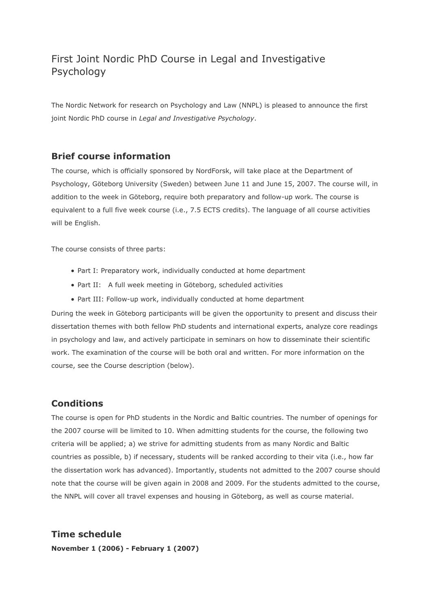# First Joint Nordic PhD Course in Legal and Investigative Psychology

The Nordic Network for research on Psychology and Law (NNPL) is pleased to announce the first joint Nordic PhD course in *Legal and Investigative Psychology*.

# **Brief course information**

The course, which is officially sponsored by NordForsk, will take place at the Department of Psychology, Göteborg University (Sweden) between June 11 and June 15, 2007. The course will, in addition to the week in Göteborg, require both preparatory and follow-up work. The course is equivalent to a full five week course (i.e., 7.5 ECTS credits). The language of all course activities will be English.

The course consists of three parts:

- Part I: Preparatory work, individually conducted at home department
- Part II: A full week meeting in Göteborg, scheduled activities
- Part III: Follow-up work, individually conducted at home department

During the week in Göteborg participants will be given the opportunity to present and discuss their dissertation themes with both fellow PhD students and international experts, analyze core readings in psychology and law, and actively participate in seminars on how to disseminate their scientific work. The examination of the course will be both oral and written. For more information on the course, see the Course description (below).

## **Conditions**

The course is open for PhD students in the Nordic and Baltic countries. The number of openings for the 2007 course will be limited to 10. When admitting students for the course, the following two criteria will be applied; a) we strive for admitting students from as many Nordic and Baltic countries as possible, b) if necessary, students will be ranked according to their vita (i.e., how far the dissertation work has advanced). Importantly, students not admitted to the 2007 course should note that the course will be given again in 2008 and 2009. For the students admitted to the course, the NNPL will cover all travel expenses and housing in Göteborg, as well as course material.

**Time schedule November 1 (2006) - February 1 (2007)**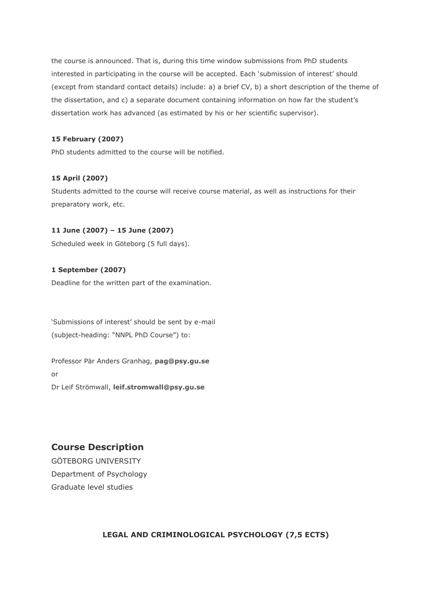the course is announced. That is, during this time window submissions from PhD students interested in participating in the course will be accepted. Each 'submission of interest' should (except from standard contact details) include: a) a brief CV, b) a short description of the theme of the dissertation, and c) a separate document containing information on how far the student's dissertation work has advanced (as estimated by his or her scientific supervisor).

#### **15 February (2007)**

PhD students admitted to the course will be notified.

#### **15 April (2007)**

Students admitted to the course will receive course material, as well as instructions for their preparatory work, etc.

#### **11 June (2007) – 15 June (2007)**

Scheduled week in Göteborg (5 full days).

#### **1 September (2007)**

Deadline for the written part of the examination.

'Submissions of interest' should be sent by e-mail (subject-heading: "NNPL PhD Course") to:

Professor Pär Anders Granhag, **[pag@psy.gu.se](mailto:pag@psy.gu.se?subject=NNPL%20PhD%20Course)** or Dr Leif Strömwall, **[leif.stromwall@psy.gu.se](mailto:leif.stromwall@psy.gu.se?subject=NNPL%20PhD%20Course)**

### **Course Description**

GÖTEBORG UNIVERSITY Department of Psychology Graduate level studies

#### **LEGAL AND CRIMINOLOGICAL PSYCHOLOGY (7,5 ECTS)**